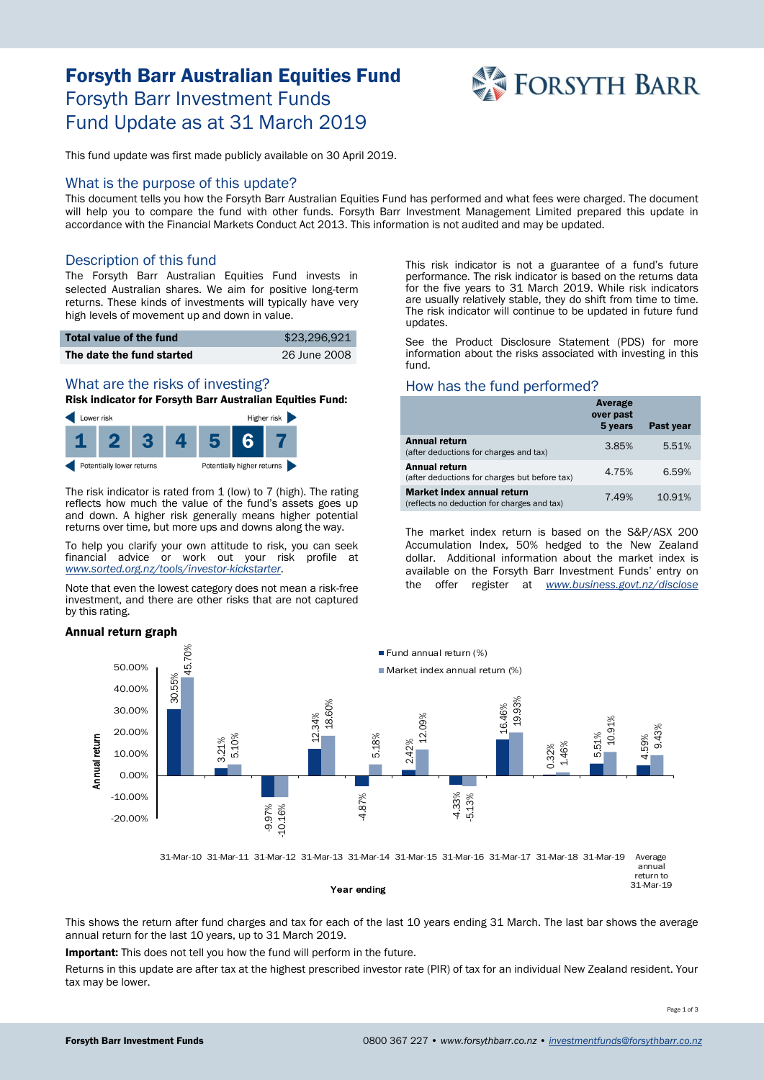# Forsyth Barr Australian Equities Fund Forsyth Barr Investment Funds Fund Update as at 31 March 2019



This fund update was first made publicly available on 30 April 2019.

#### What is the purpose of this update?

This document tells you how the Forsyth Barr Australian Equities Fund has performed and what fees were charged. The document will help you to compare the fund with other funds. Forsyth Barr Investment Management Limited prepared this update in accordance with the Financial Markets Conduct Act 2013. This information is not audited and may be updated.

### Description of this fund

The Forsyth Barr Australian Equities Fund invests in selected Australian shares. We aim for positive long-term returns. These kinds of investments will typically have very high levels of movement up and down in value.

| Total value of the fund   | \$23,296,921 |
|---------------------------|--------------|
| The date the fund started | 26 June 2008 |

# What are the risks of investing?

Risk indicator for Forsyth Barr Australian Equities Fund:



The risk indicator is rated from 1 (low) to 7 (high). The rating reflects how much the value of the fund's assets goes up and down. A higher risk generally means higher potential returns over time, but more ups and downs along the way.

To help you clarify your own attitude to risk, you can seek financial advice or work out your risk profile at *[www.sorted.org.nz/tools/investor-kickstarter](http://www.sorted.org.nz/tools/investor-kickstarter)*.

Note that even the lowest category does not mean a risk-free investment, and there are other risks that are not captured by this rating.

#### Annual return graph

This risk indicator is not a guarantee of a fund's future performance. The risk indicator is based on the returns data for the five years to 31 March 2019. While risk indicators are usually relatively stable, they do shift from time to time. The risk indicator will continue to be updated in future fund updates.

See the Product Disclosure Statement (PDS) for more information about the risks associated with investing in this fund.

## How has the fund performed?

|                                                                           | Average<br>over past<br>5 years | Past year |
|---------------------------------------------------------------------------|---------------------------------|-----------|
| <b>Annual return</b><br>(after deductions for charges and tax)            | 3.85%                           | 5.51%     |
| Annual return<br>(after deductions for charges but before tax)            | 4.75%                           | 6.59%     |
| Market index annual return<br>(reflects no deduction for charges and tax) | 7.49%                           | 10.91%    |

The market index return is based on the S&P/ASX 200 Accumulation Index, 50% hedged to the New Zealand dollar. Additional information about the market index is available on the Forsyth Barr Investment Funds' entry on the offer register at *[www.business.govt.nz/disclose](http://www.business.govt.nz/disclose)*



Year ending

This shows the return after fund charges and tax for each of the last 10 years ending 31 March. The last bar shows the average annual return for the last 10 years, up to 31 March 2019.

Important: This does not tell you how the fund will perform in the future.

Returns in this update are after tax at the highest prescribed investor rate (PIR) of tax for an individual New Zealand resident. Your tax may be lower.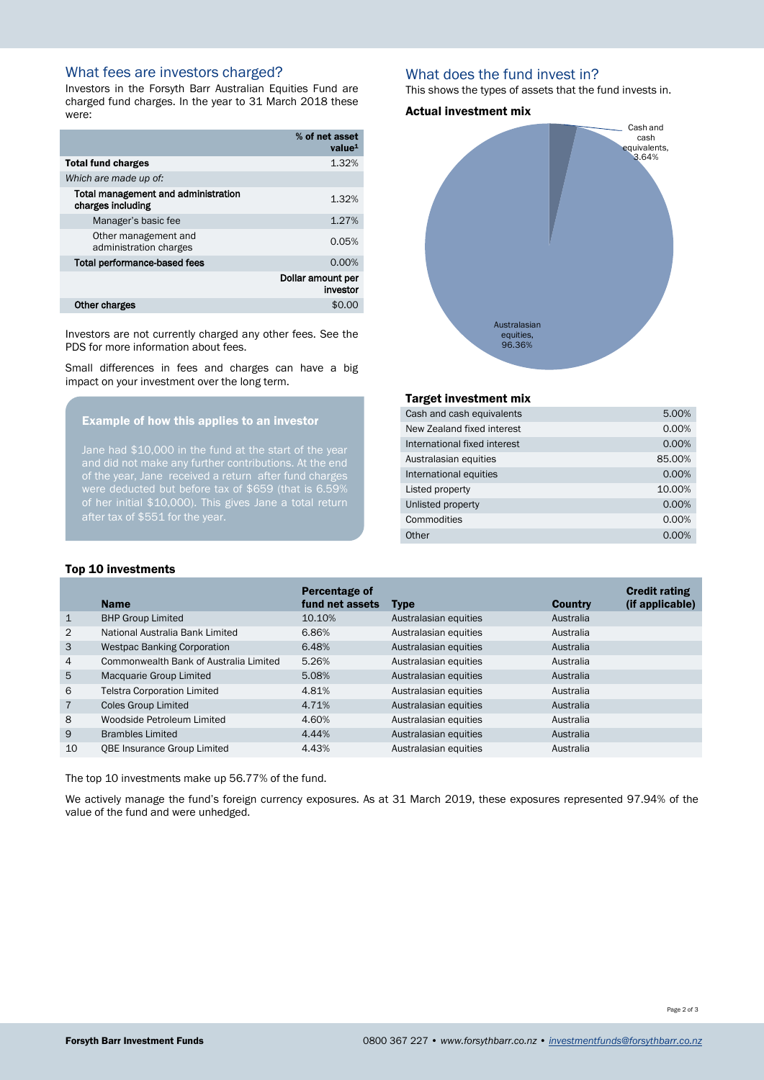# What fees are investors charged?

Investors in the Forsyth Barr Australian Equities Fund are charged fund charges. In the year to 31 March 2018 these were:

|                                                          | % of net asset<br>value <sup>1</sup> |
|----------------------------------------------------------|--------------------------------------|
| <b>Total fund charges</b>                                | 1.32%                                |
| Which are made up of:                                    |                                      |
| Total management and administration<br>charges including | 1.32%                                |
| Manager's basic fee                                      | 1.27%                                |
| Other management and<br>administration charges           | 0.05%                                |
| <b>Total performance-based fees</b>                      | 0.00%                                |
|                                                          | Dollar amount per<br>investor        |
| Other charges                                            | \$0.0                                |

Investors are not currently charged any other fees. See the PDS for more information about fees.

Small differences in fees and charges can have a big impact on your investment over the long term.

## Example of how this applies to an investor

Jane had \$10,000 in the fund at the start of the year of the year, Jane received a return after fund charges of her initial \$10,000). This gives Jane a total return after tax of \$551 for the year.

## What does the fund invest in?

This shows the types of assets that the fund invests in.

#### Actual investment mix



### Target investment mix

| Cash and cash equivalents    | 5.00%    |
|------------------------------|----------|
| New Zealand fixed interest   | 0.00%    |
| International fixed interest | 0.00%    |
| Australasian equities        | 85.00%   |
| International equities       | 0.00%    |
| Listed property              | 10.00%   |
| Unlisted property            | 0.00%    |
| Commodities                  | 0.00%    |
| Other                        | $0.00\%$ |

#### Top 10 investments

|                | <b>Name</b>                            | Percentage of<br>fund net assets | <b>Type</b>           | <b>Country</b> | <b>Credit rating</b><br>(if applicable) |
|----------------|----------------------------------------|----------------------------------|-----------------------|----------------|-----------------------------------------|
| $\mathbf{1}$   | <b>BHP Group Limited</b>               | 10.10%                           | Australasian equities | Australia      |                                         |
| 2              | National Australia Bank Limited        | 6.86%                            | Australasian equities | Australia      |                                         |
| 3              | <b>Westpac Banking Corporation</b>     | 6.48%                            | Australasian equities | Australia      |                                         |
| 4              | Commonwealth Bank of Australia Limited | 5.26%                            | Australasian equities | Australia      |                                         |
| 5              | Macquarie Group Limited                | 5.08%                            | Australasian equities | Australia      |                                         |
| 6              | <b>Telstra Corporation Limited</b>     | 4.81%                            | Australasian equities | Australia      |                                         |
| $\overline{7}$ | <b>Coles Group Limited</b>             | 4.71%                            | Australasian equities | Australia      |                                         |
| 8              | Woodside Petroleum Limited             | 4.60%                            | Australasian equities | Australia      |                                         |
| 9              | <b>Brambles Limited</b>                | 4.44%                            | Australasian equities | Australia      |                                         |
| 10             | <b>OBE Insurance Group Limited</b>     | 4.43%                            | Australasian equities | Australia      |                                         |

The top 10 investments make up 56.77% of the fund.

We actively manage the fund's foreign currency exposures. As at 31 March 2019, these exposures represented 97.94% of the value of the fund and were unhedged.